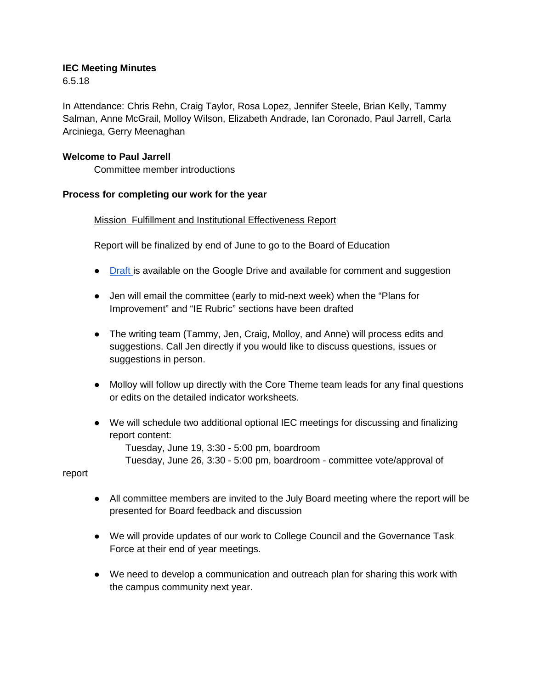## **IEC Meeting Minutes**

6.5.18

In Attendance: Chris Rehn, Craig Taylor, Rosa Lopez, Jennifer Steele, Brian Kelly, Tammy Salman, Anne McGrail, Molloy Wilson, Elizabeth Andrade, Ian Coronado, Paul Jarrell, Carla Arciniega, Gerry Meenaghan

# **Welcome to Paul Jarrell**

Committee member introductions

# **Process for completing our work for the year**

# Mission Fulfillment and Institutional Effectiveness Report

Report will be finalized by end of June to go to the Board of Education

- [Draft i](https://drive.google.com/open?id=13ikrMGsbKdgpA9x2UXzCAGKqjeuHEQOA21ATvfv7N74)s available on the Google Drive and available for comment and suggestion
- Jen will email the committee (early to mid-next week) when the "Plans for Improvement" and "IE Rubric" sections have been drafted
- The writing team (Tammy, Jen, Craig, Molloy, and Anne) will process edits and suggestions. Call Jen directly if you would like to discuss questions, issues or suggestions in person.
- Molloy will follow up directly with the Core Theme team leads for any final questions or edits on the detailed indicator worksheets.
- We will schedule two additional optional IEC meetings for discussing and finalizing report content:

Tuesday, June 19, 3:30 - 5:00 pm, boardroom

Tuesday, June 26, 3:30 - 5:00 pm, boardroom - committee vote/approval of

report

- All committee members are invited to the July Board meeting where the report will be presented for Board feedback and discussion
- We will provide updates of our work to College Council and the Governance Task Force at their end of year meetings.
- We need to develop a communication and outreach plan for sharing this work with the campus community next year.